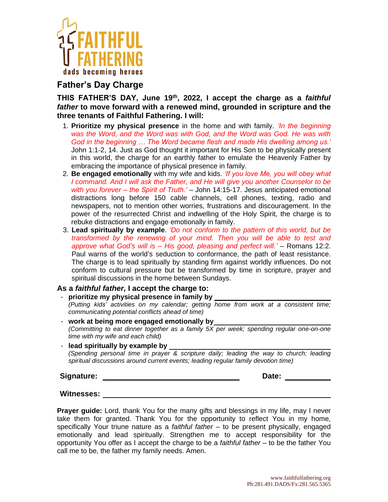

## **Father's Day Charge**

**THIS FATHER'S DAY, June 19th , 2022, I accept the charge as a** *faithful father* **to move forward with a renewed mind, grounded in scripture and the three tenants of Faithful Fathering. I will:**

- 1. **Prioritize my physical presence** in the home and with family. *'In the beginning was the Word, and the Word was with God, and the Word was God. He was with God in the beginning … The Word became flesh and made His dwelling among us.'* John 1:1-2, 14. Just as God thought it important for His Son to be physically present in this world, the charge for an earthly father to emulate the Heavenly Father by embracing the importance of physical presence in family.
- 2. **Be engaged emotionally** with my wife and kids. *'If you love Me, you will obey what I command. And I will ask the Father, and He will give you another Counselor to be with you forever – the Spirit of Truth.'* – John 14:15-17. Jesus anticipated emotional distractions long before 150 cable channels, cell phones, texting, radio and newspapers, not to mention other worries, frustrations and discouragement. In the power of the resurrected Christ and indwelling of the Holy Spirit, the charge is to rebuke distractions and engage emotionally in family.
- 3. **Lead spiritually by example**. *'Do not conform to the pattern of this world, but be transformed by the renewing of your mind. Then you will be able to test and approve what God's will is – His good, pleasing and perfect will.'* – Romans 12:2. Paul warns of the world's seduction to conformance, the path of least resistance. The charge is to lead spiritually by standing firm against worldly influences. Do not conform to cultural pressure but be transformed by time in scripture, prayer and spiritual discussions in the home between Sundays.

## **As a** *faithful father,* **I accept the charge to:**

- **prioritize my physical presence in family by**  *(Putting kids' activities on my calendar; getting home from work at a consistent time; communicating potential conflicts ahead of time)*
- work at being more engaged emotionally by *(Committing to eat dinner together as a family 5X per week; spending regular one-on-one time with my wife and each child)*
- **lead spiritually by example by**  *(Spending personal time in prayer & scripture daily; leading the way to church; leading spiritual discussions around current events; leading regular family devotion time)*

**Signature: Date:**

**Witnesses:**

**Prayer guide:** Lord, thank You for the many gifts and blessings in my life, may I never take them for granted. Thank You for the opportunity to reflect You in my home, specifically Your triune nature as a *faithful father* – to be present physically, engaged emotionally and lead spiritually. Strengthen me to accept responsibility for the opportunity You offer as I accept the charge to be a *faithful father* – to be the father You call me to be, the father my family needs. Amen.